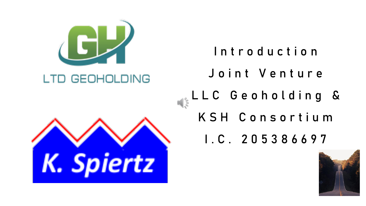

Introduction Joint Venture L L C G e o h o l d in g &  $\frac{1}{\sqrt{\frac{2}{\pi}}}$ K S H C o n s o r t i u m I . C . 2 0 5 3 8 6 6 9 7

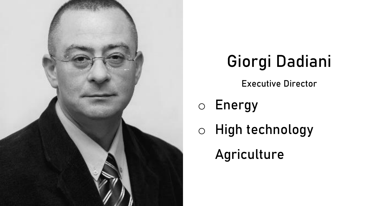

# Giorgi Dadiani

Executive Director

### o Energy

o High technology

Agriculture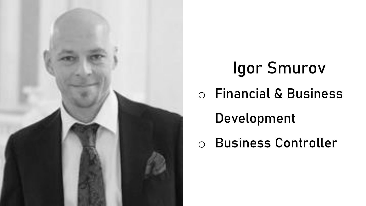

# Igor Smurov o Financial & Business Development o Business Controller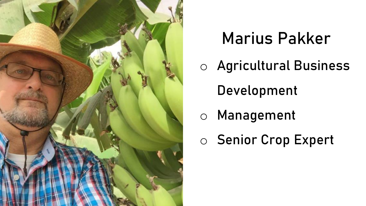

### Marius Pakker

- o Agricultural Business
	- Development
- o Management
- o Senior Crop Expert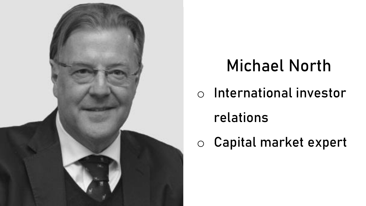

## Michael North

o International investor

### relations

o Capital market expert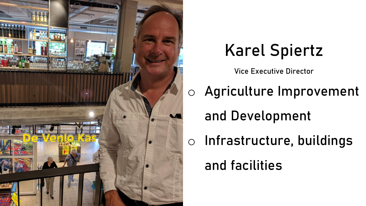

### Karel Spiertz

Vice Executive Director

o Agriculture Improvement and Development o Infrastructure, buildings and facilities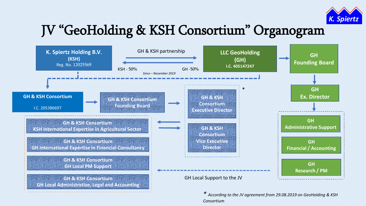

#### JV "GeoHolding & KSH Consortium" Organogram



*\* According to the JV agreement from 29.08.2019 on GeoHolding & KSH Consortium*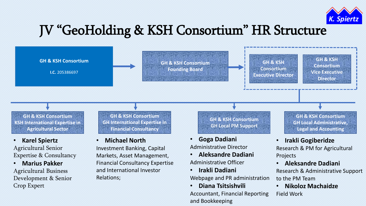

#### JV "GeoHolding & KSH Consortium" HR Structure



Accountant, Financial Reporting

and Bookkeeping

• **Nikoloz Machaidze** Field Work